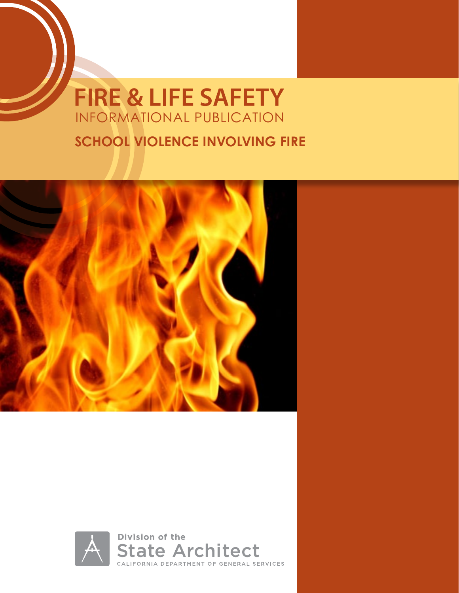# **FIRE & LIFE SAFETY** INFORMATIONAL PUBLICATION

## **SCHOOL VIOLENCE INVOLVING FIRE**



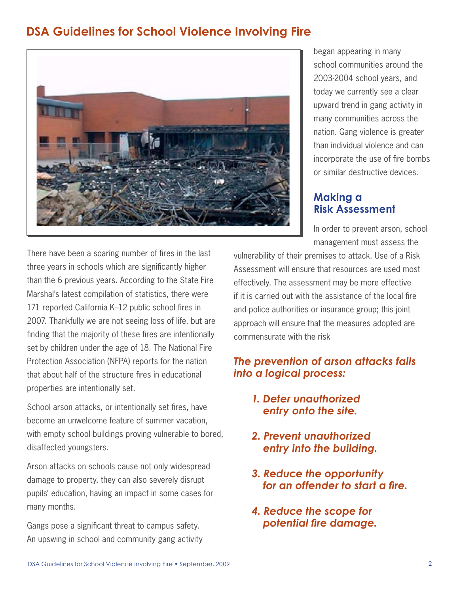## **DSA Guidelines for School Violence Involving Fire**



began appearing in many school communities around the 2003-2004 school years, and today we currently see a clear upward trend in gang activity in many communities across the nation. Gang violence is greater than individual violence and can incorporate the use of fire bombs or similar destructive devices.

#### **Making a Risk Assessment**

In order to prevent arson, school management must assess the

There have been a soaring number of fires in the last three years in schools which are significantly higher than the 6 previous years. According to the State Fire Marshal's latest compilation of statistics, there were 171 reported California K–12 public school fires in 2007. Thankfully we are not seeing loss of life, but are finding that the majority of these fires are intentionally set by children under the age of 18. The National Fire Protection Association (NFPA) reports for the nation that about half of the structure fires in educational properties are intentionally set.

School arson attacks, or intentionally set fires, have become an unwelcome feature of summer vacation, with empty school buildings proving vulnerable to bored, disaffected youngsters.

Arson attacks on schools cause not only widespread damage to property, they can also severely disrupt pupils' education, having an impact in some cases for many months.

Gangs pose a significant threat to campus safety. An upswing in school and community gang activity vulnerability of their premises to attack. Use of a Risk Assessment will ensure that resources are used most effectively. The assessment may be more effective if it is carried out with the assistance of the local fire and police authorities or insurance group; this joint approach will ensure that the measures adopted are commensurate with the risk

#### *The prevention of arson attacks falls into a logical process:*

- *1. Deter unauthorized entry onto the site.*
- *2. Prevent unauthorized entry into the building.*
- *3. Reduce the opportunity for an offender to start a fire.*
- *4. Reduce the scope for potential fire damage.*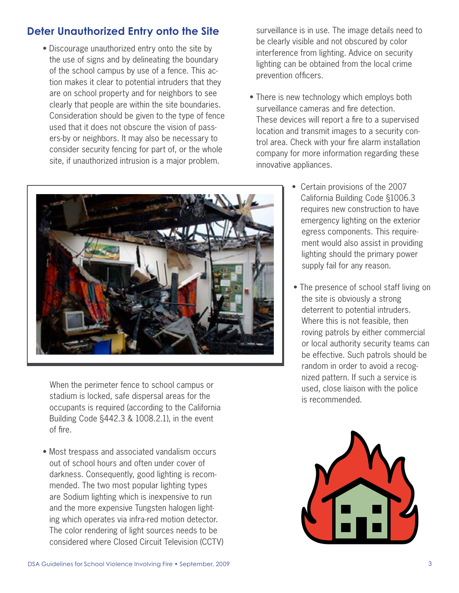## **Deter Unauthorized Entry onto the Site**

• Discourage unauthorized entry onto the site by the use of signs and by delineating the boundary of the school campus by use of a fence. This action makes it clear to potential intruders that they are on school property and for neighbors to see clearly that people are within the site boundaries. Consideration should be given to the type of fence used that it does not obscure the vision of passers-by or neighbors. It may also be necessary to consider security fencing for part of, or the whole site, if unauthorized intrusion is a major problem.

surveillance is in use. The image details need to be clearly visible and not obscured by color interference from lighting. Advice on security lighting can be obtained from the local crime prevention officers.

• There is new technology which employs both surveillance cameras and fire detection. These devices will report a fire to a supervised location and transmit images to a security control area. Check with your fire alarm installation company for more information regarding these innovative appliances.



 When the perimeter fence to school campus or stadium is locked, safe dispersal areas for the occupants is required (according to the California Building Code §442.3 & 1008.2.1), in the event of fire.

• Most trespass and associated vandalism occurs out of school hours and often under cover of darkness. Consequently, good lighting is recommended. The two most popular lighting types are Sodium lighting which is inexpensive to run and the more expensive Tungsten halogen lighting which operates via infra-red motion detector. The color rendering of light sources needs to be considered where Closed Circuit Television (CCTV)

- Certain provisions of the 2007 California Building Code §1006.3 requires new construction to have emergency lighting on the exterior egress components. This requirement would also assist in providing lighting should the primary power supply fail for any reason.
- The presence of school staff living on the site is obviously a strong deterrent to potential intruders. Where this is not feasible, then roving patrols by either commercial or local authority security teams can be effective. Such patrols should be random in order to avoid a recognized pattern. If such a service is used, close liaison with the police is recommended.

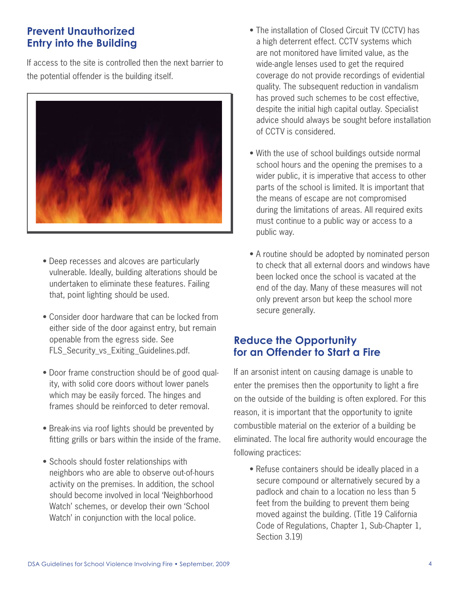#### **Prevent Unauthorized Entry into the Building**

If access to the site is controlled then the next barrier to the potential offender is the building itself.



- Deep recesses and alcoves are particularly vulnerable. Ideally, building alterations should be undertaken to eliminate these features. Failing that, point lighting should be used.
- Consider door hardware that can be locked from either side of the door against entry, but remain openable from the egress side. See FLS Security vs Exiting Guidelines.pdf.
- Door frame construction should be of good quality, with solid core doors without lower panels which may be easily forced. The hinges and frames should be reinforced to deter removal.
- Break-ins via roof lights should be prevented by fitting grills or bars within the inside of the frame.
- Schools should foster relationships with neighbors who are able to observe out-of-hours activity on the premises. In addition, the school should become involved in local 'Neighborhood Watch' schemes, or develop their own 'School Watch' in conjunction with the local police.
- The installation of Closed Circuit TV (CCTV) has a high deterrent effect. CCTV systems which are not monitored have limited value, as the wide-angle lenses used to get the required coverage do not provide recordings of evidential quality. The subsequent reduction in vandalism has proved such schemes to be cost effective, despite the initial high capital outlay. Specialist advice should always be sought before installation of CCTV is considered.
- With the use of school buildings outside normal school hours and the opening the premises to a wider public, it is imperative that access to other parts of the school is limited. It is important that the means of escape are not compromised during the limitations of areas. All required exits must continue to a public way or access to a public way.
- A routine should be adopted by nominated person to check that all external doors and windows have been locked once the school is vacated at the end of the day. Many of these measures will not only prevent arson but keep the school more secure generally.

#### **Reduce the Opportunity for an Offender to Start a Fire**

If an arsonist intent on causing damage is unable to enter the premises then the opportunity to light a fire on the outside of the building is often explored. For this reason, it is important that the opportunity to ignite combustible material on the exterior of a building be eliminated. The local fire authority would encourage the following practices:

• Refuse containers should be ideally placed in a secure compound or alternatively secured by a padlock and chain to a location no less than 5 feet from the building to prevent them being moved against the building. (Title 19 California Code of Regulations, Chapter 1, Sub-Chapter 1, Section 3.19)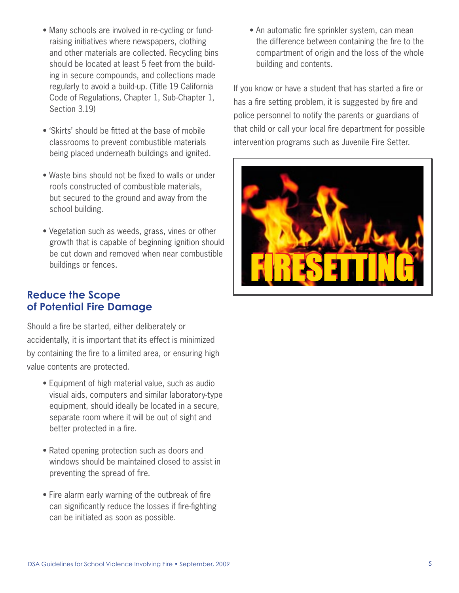- Many schools are involved in re-cycling or fundraising initiatives where newspapers, clothing and other materials are collected. Recycling bins should be located at least 5 feet from the building in secure compounds, and collections made regularly to avoid a build-up. (Title 19 California Code of Regulations, Chapter 1, Sub-Chapter 1, Section 3.19)
- 'Skirts' should be fitted at the base of mobile classrooms to prevent combustible materials being placed underneath buildings and ignited.
- Waste bins should not be fixed to walls or under roofs constructed of combustible materials, but secured to the ground and away from the school building.
- Vegetation such as weeds, grass, vines or other growth that is capable of beginning ignition should be cut down and removed when near combustible buildings or fences.

#### **Reduce the Scope of Potential Fire Damage**

Should a fire be started, either deliberately or accidentally, it is important that its effect is minimized by containing the fire to a limited area, or ensuring high value contents are protected.

- Equipment of high material value, such as audio visual aids, computers and similar laboratory-type equipment, should ideally be located in a secure, separate room where it will be out of sight and better protected in a fire.
- Rated opening protection such as doors and windows should be maintained closed to assist in preventing the spread of fire.
- Fire alarm early warning of the outbreak of fire can significantly reduce the losses if fire-fighting can be initiated as soon as possible.

• An automatic fire sprinkler system, can mean the difference between containing the fire to the compartment of origin and the loss of the whole building and contents.

If you know or have a student that has started a fire or has a fire setting problem, it is suggested by fire and police personnel to notify the parents or guardians of that child or call your local fire department for possible intervention programs such as Juvenile Fire Setter.